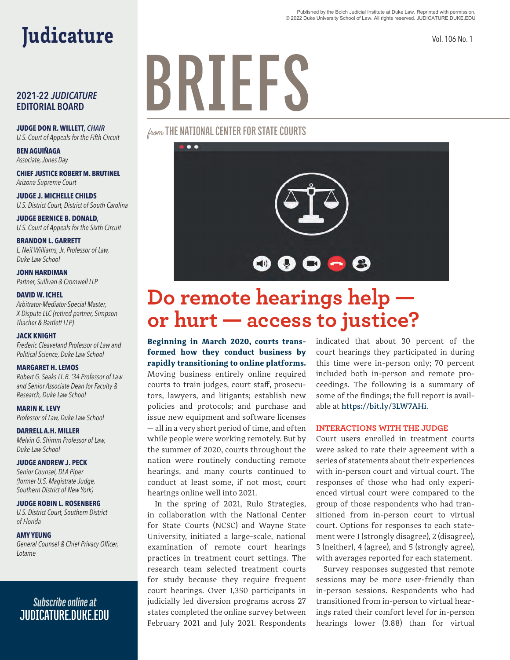#### Published by the Bolch Judicial Institute at Duke Law. Reprinted with permission. © 2022 Duke University School of Law. All rights reserved. JUDICATURE.DUKE.EDU

Vol. 106 No. 1

## Judicature

#### **2021-22** *JUDICATURE* **EDITORIAL BOARD**

**JUDGE DON R. WILLETT***, CHAIR U.S. Court of Appeals for the Fifth Circuit*

**BEN AGUIÑAGA**  *Associate, Jones Day*

**CHIEF JUSTICE ROBERT M. BRUTINEL** *Arizona Supreme Court*

**JUDGE J. MICHELLE CHILDS** *U.S. District Court, District of South Carolina*

**JUDGE BERNICE B. DONALD***, U.S. Court of Appeals for the Sixth Circuit*

**BRANDON L. GARRETT** *L. Neil Williams, Jr. Professor of Law, Duke Law School*

**JOHN HARDIMAN**  *Partner, Sullivan & Cromwell LLP*

#### **DAVID W. ICHEL**

*Arbitrator-Mediator-Special Master, X-Dispute LLC (retired partner, Simpson Thacher & Bartlett LLP)* 

#### **JACK KNIGHT**

*Frederic Cleaveland Professor of Law and Political Science, Duke Law School*

#### **MARGARET H. LEMOS**

*Robert G. Seaks LL.B. '34 Professor of Law and Senior Associate Dean for Faculty & Research, Duke Law School*

**MARIN K. LEVY** *Professor of Law, Duke Law School*

**DARRELL A.H. MILLER** *Melvin G. Shimm Professor of Law, Duke Law School*

#### **JUDGE ANDREW J. PECK**

*Senior Counsel, DLA Piper (former U.S. Magistrate Judge, Southern District of New York)*

#### **JUDGE ROBIN L. ROSENBERG**

*U.S. District Court, Southern District of Florida*

#### **AMY YEUNG**

*General Counsel & Chief Privacy Officer, Lotame*

### *Subscribe online at*  **JUDICATURE.DUKE.EDU**

# **BRIEFS**

from **THE NATIONAL CENTER FOR STATE COURTS**



## **Do remote hearings help or hurt — access to justice?**

**Beginning in March 2020, courts transformed how they conduct business by rapidly transitioning to online platforms.** 

Moving business entirely online required courts to train judges, court staff, prosecutors, lawyers, and litigants; establish new policies and protocols; and purchase and issue new equipment and software licenses — all in a very short period of time, and often while people were working remotely. But by the summer of 2020, courts throughout the nation were routinely conducting remote hearings, and many courts continued to conduct at least some, if not most, court hearings online well into 2021.

In the spring of 2021, Rulo Strategies, in collaboration with the National Center for State Courts (NCSC) and Wayne State University, initiated a large-scale, national examination of remote court hearings practices in treatment court settings. The research team selected treatment courts for study because they require frequent court hearings. Over 1,350 participants in judicially led diversion programs across 27 states completed the online survey between February 2021 and July 2021. Respondents

indicated that about 30 percent of the court hearings they participated in during this time were in-person only; 70 percent included both in-person and remote proceedings. The following is a summary of some of the findings; the full report is available at https://bit.ly/3LW7AHi.

#### **INTERACTIONS WITH THE JUDGE**

Court users enrolled in treatment courts were asked to rate their agreement with a series of statements about their experiences with in-person court and virtual court. The responses of those who had only experienced virtual court were compared to the group of those respondents who had transitioned from in-person court to virtual court. Options for responses to each statement were 1 (strongly disagree), 2 (disagree), 3 (neither), 4 (agree), and 5 (strongly agree), with averages reported for each statement.

Survey responses suggested that remote sessions may be more user-friendly than in-person sessions. Respondents who had transitioned from in-person to virtual hearings rated their comfort level for in-person hearings lower (3.88) than for virtual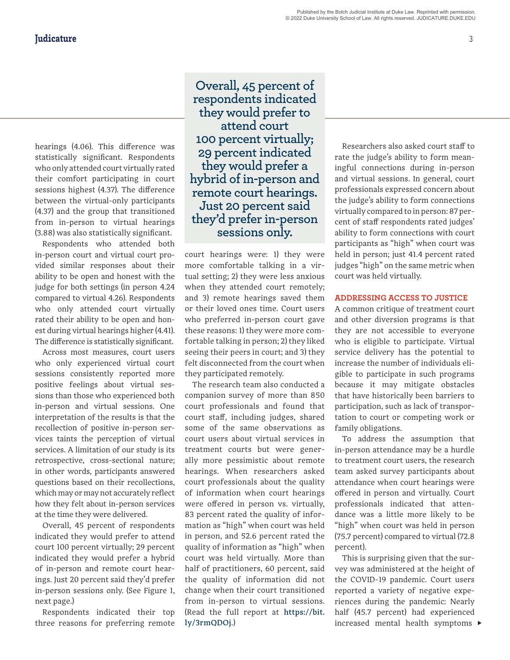hearings (4.06). This difference was statistically significant. Respondents who only attended court virtually rated their comfort participating in court sessions highest (4.37). The difference between the virtual-only participants (4.37) and the group that transitioned from in-person to virtual hearings (3.88) was also statistically significant.

Respondents who attended both in-person court and virtual court provided similar responses about their ability to be open and honest with the judge for both settings (in person 4.24 compared to virtual 4.26). Respondents who only attended court virtually rated their ability to be open and honest during virtual hearings higher (4.41). The difference is statistically significant.

Across most measures, court users who only experienced virtual court sessions consistently reported more positive feelings about virtual sessions than those who experienced both in-person and virtual sessions. One interpretation of the results is that the recollection of positive in-person services taints the perception of virtual services. A limitation of our study is its retrospective, cross-sectional nature; in other words, participants answered questions based on their recollections, which may or may not accurately reflect how they felt about in-person services at the time they were delivered.

Overall, 45 percent of respondents indicated they would prefer to attend court 100 percent virtually; 29 percent indicated they would prefer a hybrid of in-person and remote court hearings. Just 20 percent said they'd prefer in-person sessions only. (See Figure 1, next page.)

Respondents indicated their top three reasons for preferring remote

**Overall, 45 percent of respondents indicated they would prefer to attend court 100 percent virtually; 29 percent indicated they would prefer a hybrid of in-person and remote court hearings. Just 20 percent said they'd prefer in-person sessions only.**

court hearings were: 1) they were more comfortable talking in a virtual setting; 2) they were less anxious when they attended court remotely; and 3) remote hearings saved them or their loved ones time. Court users who preferred in-person court gave these reasons: 1) they were more comfortable talking in person; 2) they liked seeing their peers in court; and 3) they felt disconnected from the court when they participated remotely.

The research team also conducted a companion survey of more than 850 court professionals and found that court staff, including judges, shared some of the same observations as court users about virtual services in treatment courts but were generally more pessimistic about remote hearings. When researchers asked court professionals about the quality of information when court hearings were offered in person vs. virtually, 83 percent rated the quality of information as "high" when court was held in person, and 52.6 percent rated the quality of information as "high" when court was held virtually. More than half of practitioners, 60 percent, said the quality of information did not change when their court transitioned from in-person to virtual sessions. (Read the full report at https://bit. ly/3rmQDOj.)

Researchers also asked court staff to rate the judge's ability to form meaningful connections during in-person and virtual sessions. In general, court professionals expressed concern about the judge's ability to form connections virtually compared to in person: 87 percent of staff respondents rated judges' ability to form connections with court participants as "high" when court was held in person; just 41.4 percent rated judges "high" on the same metric when court was held virtually.

#### **ADDRESSING ACCESS TO JUSTICE**

A common critique of treatment court and other diversion programs is that they are not accessible to everyone who is eligible to participate. Virtual service delivery has the potential to increase the number of individuals eligible to participate in such programs because it may mitigate obstacles that have historically been barriers to participation, such as lack of transportation to court or competing work or family obligations.

To address the assumption that in-person attendance may be a hurdle to treatment court users, the research team asked survey participants about attendance when court hearings were offered in person and virtually. Court professionals indicated that attendance was a little more likely to be "high" when court was held in person (75.7 percent) compared to virtual (72.8 percent).

This is surprising given that the survey was administered at the height of the COVID-19 pandemic. Court users reported a variety of negative experiences during the pandemic: Nearly half (45.7 percent) had experienced increased mental health symptoms  $\blacktriangleright$